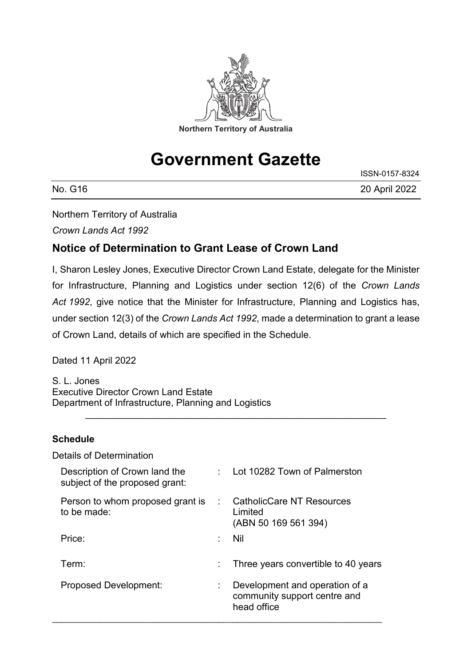

# **Government Gazette**

| No.<br>G16 | 20 April 2022 |
|------------|---------------|

ISSN-0157-8324

Northern Territory of Australia

*Crown Lands Act 1992*

### **Notice of Determination to Grant Lease of Crown Land**

I, Sharon Lesley Jones, Executive Director Crown Land Estate, delegate for the Minister for Infrastructure, Planning and Logistics under section 12(6) of the *Crown Lands Act 1992*, give notice that the Minister for Infrastructure, Planning and Logistics has, under section 12(3) of the *Crown Lands Act 1992*, made a determination to grant a lease of Crown Land, details of which are specified in the Schedule.

\_\_\_\_\_\_\_\_\_\_\_\_\_\_\_\_\_\_\_\_\_\_\_\_\_\_\_\_\_\_\_\_\_\_\_\_\_\_\_\_\_\_\_\_\_\_\_\_\_\_\_\_\_\_\_\_\_

Dated 11 April 2022

S. L. Jones Executive Director Crown Land Estate Department of Infrastructure, Planning and Logistics

### **Schedule**

| <b>Details of Determination</b>                                 |                             |                                                                               |
|-----------------------------------------------------------------|-----------------------------|-------------------------------------------------------------------------------|
| Description of Crown land the<br>subject of the proposed grant: |                             | : Lot 10282 Town of Palmerston                                                |
| Person to whom proposed grant is<br>to be made:                 | $\mathcal{L}^{\mathcal{L}}$ | <b>CatholicCare NT Resources</b><br>Limited<br>(ABN 50 169 561 394)           |
| Price:                                                          | ٠                           | <b>Nil</b>                                                                    |
| Term:                                                           | ÷.                          | Three years convertible to 40 years                                           |
| <b>Proposed Development:</b>                                    | ÷.                          | Development and operation of a<br>community support centre and<br>head office |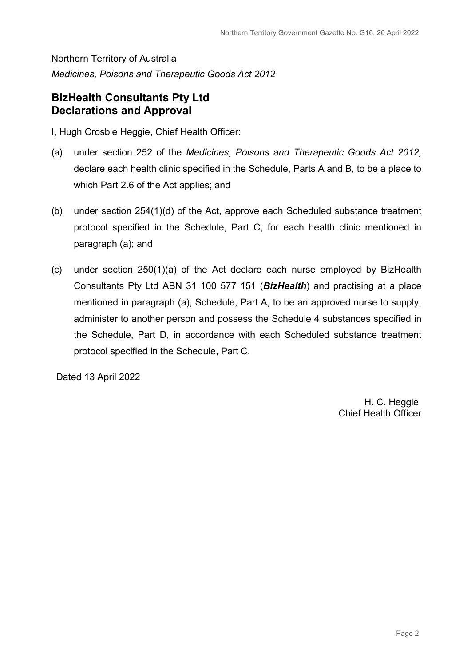Northern Territory of Australia *Medicines, Poisons and Therapeutic Goods Act 2012*

### **BizHealth Consultants Pty Ltd Declarations and Approval**

I, Hugh Crosbie Heggie, Chief Health Officer:

- (a) under section 252 of the *Medicines, Poisons and Therapeutic Goods Act 2012,*  declare each health clinic specified in the Schedule, Parts A and B, to be a place to which Part 2.6 of the Act applies; and
- (b) under section 254(1)(d) of the Act, approve each Scheduled substance treatment protocol specified in the Schedule, Part C, for each health clinic mentioned in paragraph (a); and
- (c) under section 250(1)(a) of the Act declare each nurse employed by BizHealth Consultants Pty Ltd ABN 31 100 577 151 (*BizHealth*) and practising at a place mentioned in paragraph (a), Schedule, Part A, to be an approved nurse to supply, administer to another person and possess the Schedule 4 substances specified in the Schedule, Part D, in accordance with each Scheduled substance treatment protocol specified in the Schedule, Part C.

Dated 13 April 2022

H. C. Heggie Chief Health Officer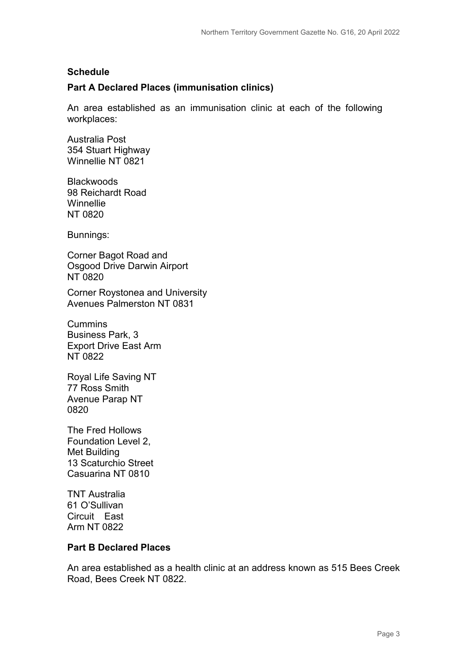#### **Schedule**

#### **Part A Declared Places (immunisation clinics)**

An area established as an immunisation clinic at each of the following workplaces:

Australia Post 354 Stuart Highway Winnellie NT 0821

**Blackwoods** 98 Reichardt Road **Winnellie** NT 0820

Bunnings:

Corner Bagot Road and Osgood Drive Darwin Airport NT 0820

Corner Roystonea and University Avenues Palmerston NT 0831

**Cummins** Business Park, 3 Export Drive East Arm NT 0822

Royal Life Saving NT 77 Ross Smith Avenue Parap NT 0820

The Fred Hollows Foundation Level 2, Met Building 13 Scaturchio Street Casuarina NT 0810

TNT Australia 61 O'Sullivan Circuit East Arm NT 0822

#### **Part B Declared Places**

An area established as a health clinic at an address known as 515 Bees Creek Road, Bees Creek NT 0822.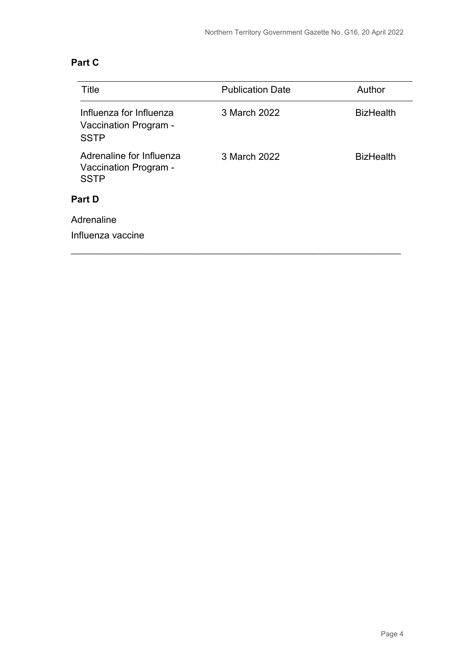| Title                                                            | <b>Publication Date</b> | Author           |
|------------------------------------------------------------------|-------------------------|------------------|
| Influenza for Influenza<br>Vaccination Program -<br><b>SSTP</b>  | 3 March 2022            | <b>BizHealth</b> |
| Adrenaline for Influenza<br>Vaccination Program -<br><b>SSTP</b> | 3 March 2022            | <b>BizHealth</b> |
| <b>Part D</b>                                                    |                         |                  |
| Adrenaline                                                       |                         |                  |
| Influenza vaccine                                                |                         |                  |
|                                                                  |                         |                  |